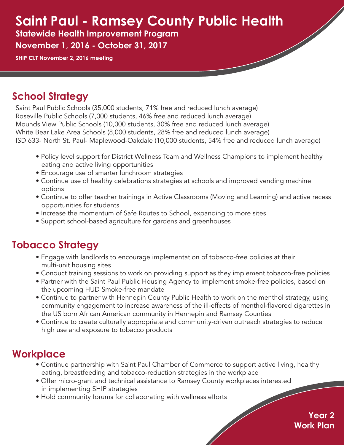# **Saint Paul - Ramsey County Public Health**

**Statewide Health Improvement Program November 1, 2016 - October 31, 2017**

**SHIP CLT November 2, 2016 meeting**

## **School Strategy**

Saint Paul Public Schools (35,000 students, 71% free and reduced lunch average) Roseville Public Schools (7,000 students, 46% free and reduced lunch average) Mounds View Public Schools (10,000 students, 30% free and reduced lunch average) White Bear Lake Area Schools (8,000 students, 28% free and reduced lunch average) ISD 633- North St. Paul- Maplewood-Oakdale (10,000 students, 54% free and reduced lunch average)

- Policy level support for District Wellness Team and Wellness Champions to implement healthy eating and active living opportunities
- Encourage use of smarter lunchroom strategies
- Continue use of healthy celebrations strategies at schools and improved vending machine options
- Continue to offer teacher trainings in Active Classrooms (Moving and Learning) and active recess opportunities for students
- Increase the momentum of Safe Routes to School, expanding to more sites
- Support school-based agriculture for gardens and greenhouses

### **Tobacco Strategy**

- Engage with landlords to encourage implementation of tobacco-free policies at their multi-unit housing sites
- Conduct training sessions to work on providing support as they implement tobacco-free policies
- Partner with the Saint Paul Public Housing Agency to implement smoke-free policies, based on the upcoming HUD Smoke-free mandate
- Continue to partner with Hennepin County Public Health to work on the menthol strategy, using community engagement to increase awareness of the ill-effects of menthol-flavored cigarettes in the US born African American community in Hennepin and Ramsey Counties
- Continue to create culturally appropriate and community-driven outreach strategies to reduce high use and exposure to tobacco products

#### **Workplace**

- Continue partnership with Saint Paul Chamber of Commerce to support active living, healthy eating, breastfeeding and tobacco-reduction strategies in the workplace
- Offer micro-grant and technical assistance to Ramsey County workplaces interested in implementing SHIP strategies
- Hold community forums for collaborating with wellness efforts

**Year 2 Work Plan**